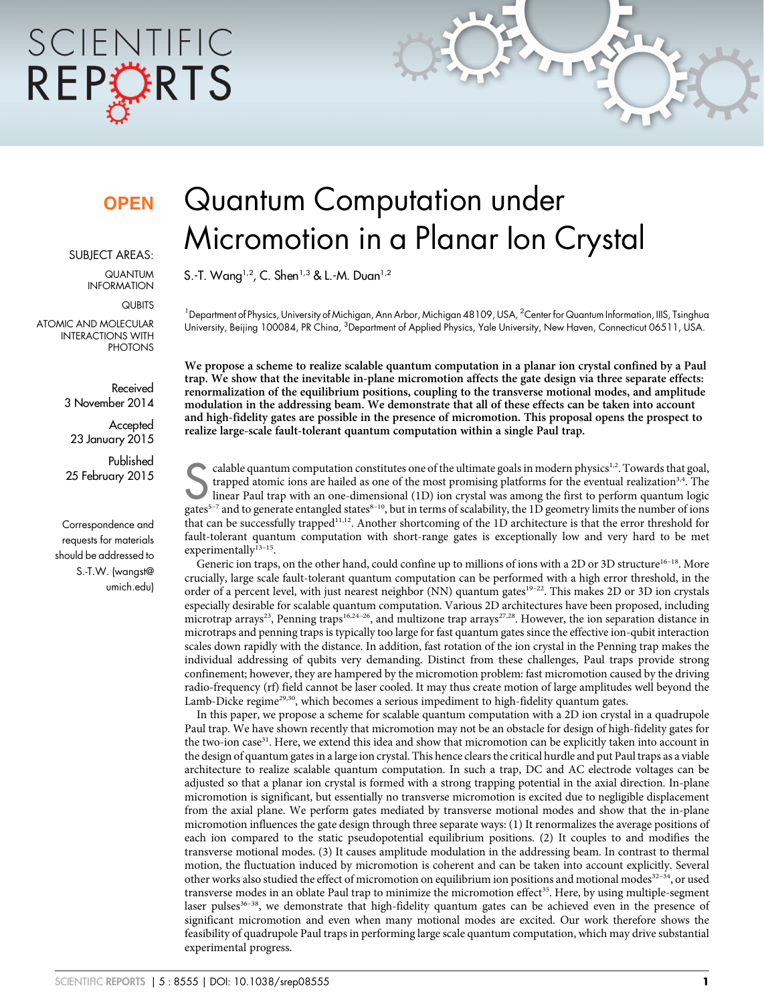# SCIENTIFIC REPORTS

### **OPEN**

#### SUBJECT AREAS:

QUANTUM INFORMATION

**QUBITS** 

ATOMIC AND MOLECULAR INTERACTIONS WITH **PHOTONS** 

> Received 3 November 2014

**Accepted** 23 January 2015

Published 25 February 2015

Correspondence and requests for materials should be addressed to S.-T.W. ([wangst@](mailto:wangst@umich.edu) [umich.edu\)](mailto:wangst@umich.edu)

## Quantum Computation under Micromotion in a Planar Ion Crystal

S.-T. Wang<sup>1,2</sup>, C. Shen<sup>1,3</sup> & L.-M. Duan<sup>1,2</sup>

<sup>1</sup> Department of Physics, University of Michigan, Ann Arbor, Michigan 48109, USA, <sup>2</sup>Center for Quantum Information, IIIS, Tsinghua University, Beijing 100084, PR China, <sup>3</sup>Department of Applied Physics, Yale University, New Haven, Connecticut 06511, USA.

We propose a scheme to realize scalable quantum computation in a planar ion crystal confined by a Paul trap. We show that the inevitable in-plane micromotion affects the gate design via three separate effects: renormalization of the equilibrium positions, coupling to the transverse motional modes, and amplitude modulation in the addressing beam. We demonstrate that all of these effects can be taken into account and high-fidelity gates are possible in the presence of micromotion. This proposal opens the prospect to realize large-scale fault-tolerant quantum computation within a single Paul trap.

calable quantum computation constitutes one of the ultimate goals in modern physics<sup>1,2</sup>. Towards that goal, trapped atomic ions are hailed as one of the most promising platforms for the eventual realization<sup>3,4</sup>. The line trapped atomic ions are hailed as one of the most promising platforms for the eventual realization<sup>3,4</sup>. The gates $^{5-7}$  and to generate entangled states $^{8-10},$  but in terms of scalability, the 1D geometry limits the number of ions that can be successfully trapped11,12. Another shortcoming of the 1D architecture is that the error threshold for fault-tolerant quantum computation with short-range gates is exceptionally low and very hard to be met experimentally $^{13-15}$ .

Generic ion traps, on the other hand, could confine up to millions of ions with a 2D or 3D structure<sup>16-18</sup>. More crucially, large scale fault-tolerant quantum computation can be performed with a high error threshold, in the order of a percent level, with just nearest neighbor (NN) quantum gates<sup>19–22</sup>. This makes 2D or 3D ion crystals especially desirable for scalable quantum computation. Various 2D architectures have been proposed, including microtrap arrays<sup>23</sup>, Penning traps<sup>16,24–26</sup>, and multizone trap arrays<sup>27,28</sup>. However, the ion separation distance in microtraps and penning traps is typically too large for fast quantum gates since the effective ion-qubit interaction scales down rapidly with the distance. In addition, fast rotation of the ion crystal in the Penning trap makes the individual addressing of qubits very demanding. Distinct from these challenges, Paul traps provide strong confinement; however, they are hampered by the micromotion problem: fast micromotion caused by the driving radio-frequency (rf) field cannot be laser cooled. It may thus create motion of large amplitudes well beyond the Lamb-Dicke regime<sup>29,30</sup>, which becomes a serious impediment to high-fidelity quantum gates.

In this paper, we propose a scheme for scalable quantum computation with a 2D ion crystal in a quadrupole Paul trap. We have shown recently that micromotion may not be an obstacle for design of high-fidelity gates for the two-ion case<sup>31</sup>. Here, we extend this idea and show that micromotion can be explicitly taken into account in the design of quantum gates in a large ion crystal. This hence clears the critical hurdle and put Paul traps as a viable architecture to realize scalable quantum computation. In such a trap, DC and AC electrode voltages can be adjusted so that a planar ion crystal is formed with a strong trapping potential in the axial direction. In-plane micromotion is significant, but essentially no transverse micromotion is excited due to negligible displacement from the axial plane. We perform gates mediated by transverse motional modes and show that the in-plane micromotion influences the gate design through three separate ways: (1) It renormalizes the average positions of each ion compared to the static pseudopotential equilibrium positions. (2) It couples to and modifies the transverse motional modes. (3) It causes amplitude modulation in the addressing beam. In contrast to thermal motion, the fluctuation induced by micromotion is coherent and can be taken into account explicitly. Several other works also studied the effect of micromotion on equilibrium ion positions and motional modes<sup>32-34</sup>, or used transverse modes in an oblate Paul trap to minimize the micromotion effect<sup>35</sup>. Here, by using multiple-segment laser pulses<sup>36–38</sup>, we demonstrate that high-fidelity quantum gates can be achieved even in the presence of significant micromotion and even when many motional modes are excited. Our work therefore shows the feasibility of quadrupole Paul traps in performing large scale quantum computation, which may drive substantial experimental progress.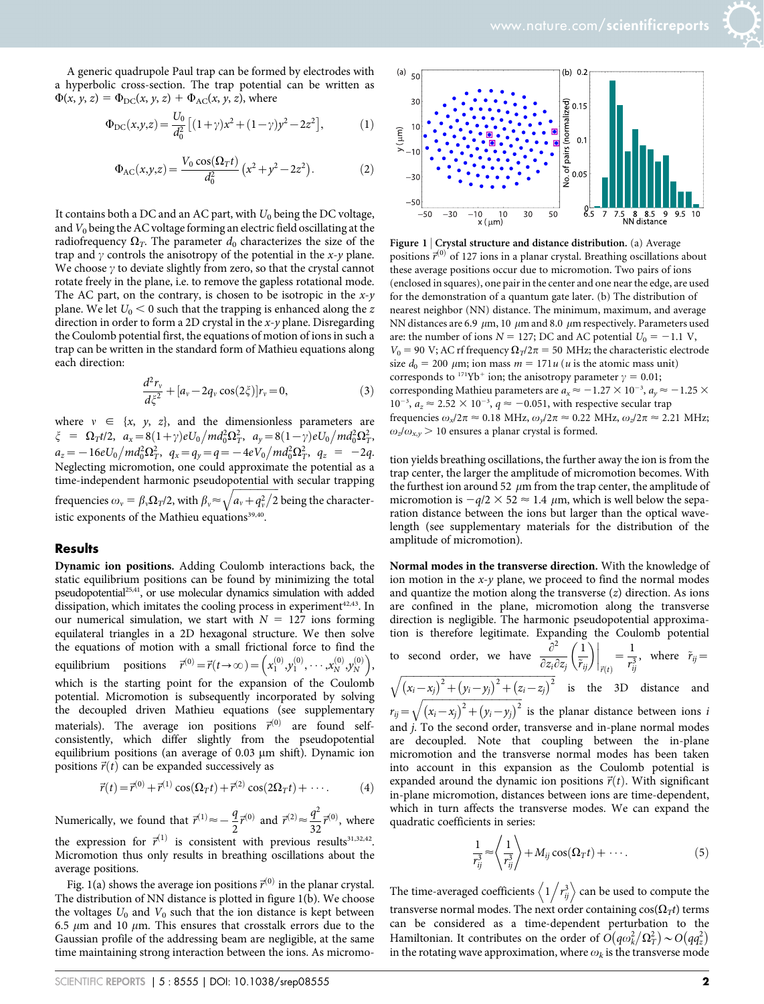A generic quadrupole Paul trap can be formed by electrodes with a hyperbolic cross-section. The trap potential can be written as  $\Phi(x, y, z) = \Phi_{DC}(x, y, z) + \Phi_{AC}(x, y, z)$ , where

$$
\Phi_{\rm DC}(x, y, z) = \frac{U_0}{d_0^2} \left[ (1 + \gamma) x^2 + (1 - \gamma) y^2 - 2z^2 \right],\tag{1}
$$

$$
\Phi_{AC}(x,y,z) = \frac{V_0 \cos(\Omega_T t)}{d_0^2} (x^2 + y^2 - 2z^2).
$$
 (2)

It contains both a DC and an AC part, with  $U_0$  being the DC voltage, and  $V_0$  being the AC voltage forming an electric field oscillating at the radiofrequency  $\Omega_T$ . The parameter  $d_0$  characterizes the size of the trap and  $\gamma$  controls the anisotropy of the potential in the  $x$ - $\gamma$  plane. We choose  $\gamma$  to deviate slightly from zero, so that the crystal cannot rotate freely in the plane, i.e. to remove the gapless rotational mode. The AC part, on the contrary, is chosen to be isotropic in the  $x-y$ plane. We let  $U_0 < 0$  such that the trapping is enhanced along the z direction in order to form a 2D crystal in the  $x$ -y plane. Disregarding the Coulomb potential first, the equations of motion of ions in such a trap can be written in the standard form of Mathieu equations along each direction:

$$
\frac{d^2r_v}{d\xi^2} + [a_v - 2q_v \cos(2\xi)]r_v = 0,
$$
\n(3)

where  $v \in \{x, y, z\}$ , and the dimensionless parameters are  $\xi = \Omega_T t/2$ ,  $a_x = 8(1+\gamma)eU_0/m d_0^2 \Omega_T^2$ ,  $a_y = 8(1-\gamma)eU_0/m d_0^2 \Omega_T^2$  $a_z = -16eU_0/m d_0^2 \Omega_T^2$ ,  $q_x = q_y = q = -4eV_0/m d_0^2 \Omega_T^2$ ,  $q_z = -2q$ . Neglecting micromotion, one could approximate the potential as a time-independent harmonic pseudopotential with secular trapping<br>
The contract of the secular trapping frequencies  $\omega_{\rm v}=\beta_{\rm v}\Omega_T$ /2, with  $\beta_{\rm v}$   $\approx$   $\sqrt{a_{\rm v}+q_{\rm v}^2/2}$  being the characteristic exponents of the Mathieu equations<sup>39,40</sup>.

#### **Results**

Dynamic ion positions. Adding Coulomb interactions back, the static equilibrium positions can be found by minimizing the total pseudopotential<sup>25,41</sup>, or use molecular dynamics simulation with added dissipation, which imitates the cooling process in experiment $42,43$ . In our numerical simulation, we start with  $N = 127$  ions forming equilateral triangles in a 2D hexagonal structure. We then solve the equations of motion with a small frictional force to find the equilibrium positions  $\vec{r}^{(0)} = \vec{r}(t \rightarrow \infty) = \left(x_1^{(0)}, y_1^{(0)}, \cdots, x_N^{(0)}, y_N^{(0)}\right)$ which is the starting point for the expansion of the Coulomb potential. Micromotion is subsequently incorporated by solving the decoupled driven Mathieu equations (see supplementary materials). The average ion positions  $\vec{r}^{(0)}$  are found selfconsistently, which differ slightly from the pseudopotential equilibrium positions (an average of  $0.03 \mu m$  shift). Dynamic ion positions  $\vec{r}(t)$  can be expanded successively as

$$
\vec{r}(t) = \vec{r}^{(0)} + \vec{r}^{(1)} \cos(\Omega_T t) + \vec{r}^{(2)} \cos(2\Omega_T t) + \cdots. \tag{4}
$$

Numerically, we found that  $\vec{r}^{(1)} \approx -\frac{q}{2}\vec{r}^{(0)}$  and  $\vec{r}^{(2)} \approx \frac{q^2}{32}\vec{r}^{(0)}$ , where the expression for  $\vec{r}^{(1)}$  is consistent with previous results<sup>31,32,42</sup>. Micromotion thus only results in breathing oscillations about the average positions.

Fig. 1(a) shows the average ion positions  $\vec{r}^{(0)}$  in the planar crystal. The distribution of NN distance is plotted in figure 1(b). We choose the voltages  $U_0$  and  $V_0$  such that the ion distance is kept between 6.5  $\mu$ m and 10  $\mu$ m. This ensures that crosstalk errors due to the Gaussian profile of the addressing beam are negligible, at the same time maintaining strong interaction between the ions. As micromo-



Figure 1 | Crystal structure and distance distribution. (a) Average positions  $\vec{r}^{(0)}$  of 127 ions in a planar crystal. Breathing oscillations about these average positions occur due to micromotion. Two pairs of ions (enclosed in squares), one pair in the center and one near the edge, are used for the demonstration of a quantum gate later. (b) The distribution of nearest neighbor (NN) distance. The minimum, maximum, and average NN distances are 6.9  $\mu$ m, 10  $\mu$ m and 8.0  $\mu$ m respectively. Parameters used are: the number of ions  $N = 127$ ; DC and AC potential  $U_0 = -1.1$  V,  $V_0$  = 90 V; AC rf frequency  $\Omega_T/2\pi$  = 50 MHz; the characteristic electrode size  $d_0 = 200 \mu m$ ; ion mass  $m = 171u$  (*u* is the atomic mass unit) corresponds to <sup>171</sup>Yb<sup>+</sup> ion; the anisotropy parameter  $\gamma = 0.01$ ; corresponding Mathieu parameters are  $a_x \approx -1.27 \times 10^{-3}$ ,  $a_y \approx -1.25 \times 10^{-3}$  $10^{-3}$ ,  $a_z \approx 2.52 \times 10^{-3}$ ,  $q \approx -0.051$ , with respective secular trap frequencies  $\omega_x/2\pi \approx 0.18 \text{ MHz}, \omega_y/2\pi \approx 0.22 \text{ MHz}, \omega_z/2\pi \approx 2.21 \text{ MHz};$  $\omega_z/\omega_{x,y}$  > 10 ensures a planar crystal is formed.

tion yields breathing oscillations, the further away the ion is from the trap center, the larger the amplitude of micromotion becomes. With the furthest ion around 52  $\mu$ m from the trap center, the amplitude of micromotion is  $-q/2 \times 52 \approx 1.4 \mu m$ , which is well below the separation distance between the ions but larger than the optical wavelength (see supplementary materials for the distribution of the amplitude of micromotion).

Normal modes in the transverse direction. With the knowledge of ion motion in the  $x-y$  plane, we proceed to find the normal modes and quantize the motion along the transverse  $(z)$  direction. As ions are confined in the plane, micromotion along the transverse direction is negligible. The harmonic pseudopotential approximation is therefore legitimate. Expanding the Coulomb potential<br> $\frac{\partial^2}{\partial x^2}$  (1) | | |

to second order, we have 
$$
\frac{\partial^2}{\partial z_i \partial z_j} \left(\frac{1}{\tilde{r}_{ij}}\right)\Big|_{\vec{r}(t)} = \frac{1}{r_{ij}^3}
$$
, where  $\tilde{r}_{ij} =$ 

 $\sqrt{(x_i-x_j)^2+(y_i-y_j)^2+(z_i-z_j)^2}$  is the 3D distance and  $r_{ij}$ ffiffiffiffiffiffiffiffiffiffiffiffiffiffiffiffiffiffiffiffiffiffiffiffiffiffiffiffiffiffiffiffiffiffiffiffiffiffiffiffi  $\sqrt{(x_i - x_j)^2 + (y_i - y_j)^2}$ is the planar distance between ions i and j. To the second order, transverse and in-plane normal modes

are decoupled. Note that coupling between the in-plane micromotion and the transverse normal modes has been taken into account in this expansion as the Coulomb potential is expanded around the dynamic ion positions  $\vec{r}(t)$ . With significant in-plane micromotion, distances between ions are time-dependent, which in turn affects the transverse modes. We can expand the quadratic coefficients in series:

$$
\frac{1}{r_{ij}^3} \approx \left\langle \frac{1}{r_{ij}^3} \right\rangle + M_{ij} \cos(\Omega_T t) + \cdots. \tag{5}
$$

The time-averaged coefficients  $\left\langle 1 \middle/ r_{ij}^3 \right\rangle$  can be used to compute the transverse normal modes. The next order containing  $cos(\Omega_T t)$  terms can be considered as a time-dependent perturbation to the Hamiltonian. It contributes on the order of  $O(q\omega_k^2/\Omega_T^2) \sim O(q\alpha_z^2)$ in the rotating wave approximation, where  $\omega_k$  is the transverse mode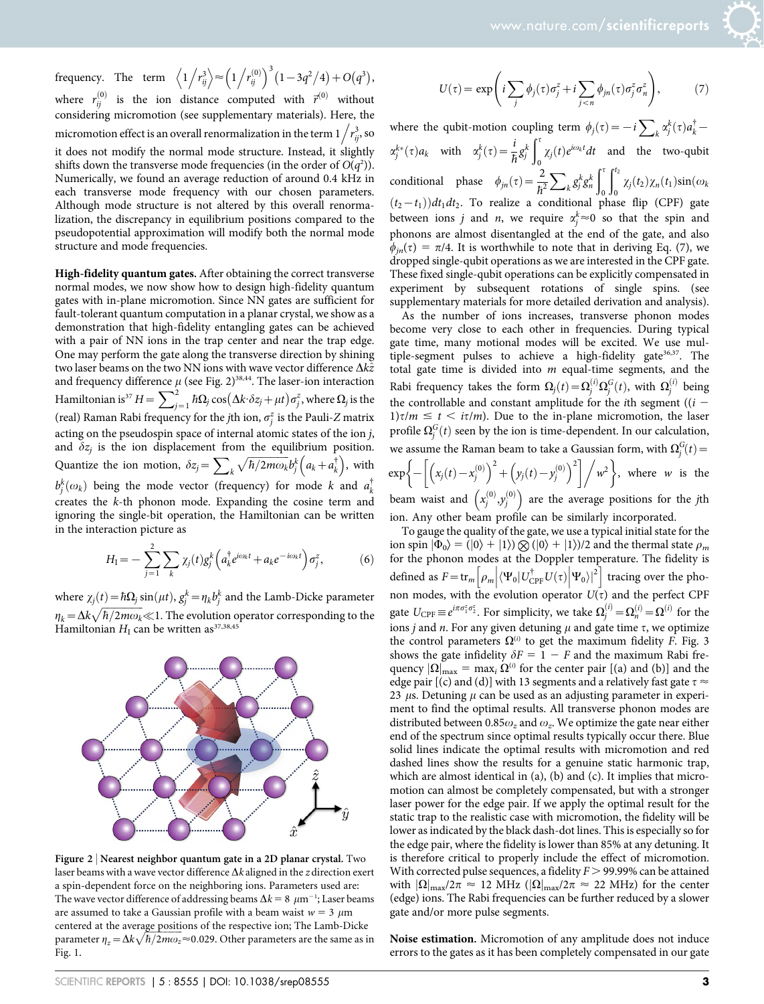frequency. The term  $\left\langle 1/r_{ij}^3 \right\rangle \approx \left(1/\frac{1}{r_{ij}}\right)$  $\left(1 / r_{ij}^{(0)}\right)^3 (1 - 3q^2/4) + O(q^3),$ where  $r_{ij}^{(0)}$  is the ion distance computed with  $\vec{r}^{(0)}$  without considering micromotion (see supplementary materials). Here, the the induction effect is an overall renormalization in the term  $1/r_{ij}^3$ , so it does not modify the normal mode structure. Instead, it slightly shifts down the transverse mode frequencies (in the order of  $O(q^2)$ ). Numerically, we found an average reduction of around 0.4 kHz in each transverse mode frequency with our chosen parameters. Although mode structure is not altered by this overall renormalization, the discrepancy in equilibrium positions compared to the pseudopotential approximation will modify both the normal mode structure and mode frequencies.

High-fidelity quantum gates. After obtaining the correct transverse normal modes, we now show how to design high-fidelity quantum gates with in-plane micromotion. Since NN gates are sufficient for fault-tolerant quantum computation in a planar crystal, we show as a demonstration that high-fidelity entangling gates can be achieved with a pair of NN ions in the trap center and near the trap edge. One may perform the gate along the transverse direction by shining two laser beams on the two NN ions with wave vector difference  $\Delta k\hat{z}$ and frequency difference  $\mu$  (see Fig. 2)<sup>38,44</sup>. The laser-ion interaction<br>Hamiltonian is $^{37}H = \sum_{j=1}^2 \hbar \Omega_j \cos(\Delta k \cdot \delta z_j + \mu t) \sigma_j^z,$  where  $\Omega_j$  is the (real) Raman Rabi frequency for the *j*th ion,  $\sigma^z_j$  is the Pauli-Z matrix acting on the pseudospin space of internal atomic states of the ion j, and  $\delta z_j$  is the ion displacement from the equilibrium position. Quantize the ion motion,  $\delta z_j = \sum_k$  $\sqrt{\hbar/2m\omega_k}b_j^k\left(a_k+a_k^{\dagger}\right)$ , with  $b_j^k(\omega_k)$  being the mode vector (frequency) for mode k and  $a_k^{\dagger}$ creates the k-th phonon mode. Expanding the cosine term and ignoring the single-bit operation, the Hamiltonian can be written in the interaction picture as

$$
H_{\rm I} = -\sum_{j=1}^{2} \sum_{k} \chi_j(t) g_j^k \left( a_k^{\dagger} e^{i\omega_k t} + a_k e^{-i\omega_k t} \right) \sigma_j^z, \tag{6}
$$

where  $\chi_j(t) = \hbar \Omega_j \sin(\mu t)$ ,  $g_j^k = \eta_k b_j^k$  and the Lamb-Dicke parameter  $\eta_k = \Delta k \sqrt{\hbar/2m\omega_k} \ll 1$ . The evolution operator corresponding to the Hamiltonian  $H_{\rm I}$  can be written as<sup>37,38,45</sup>



Figure 2 <sup>|</sup> Nearest neighbor quantum gate in a 2D planar crystal. Two laser beams with a wave vector difference  $\Delta k$  aligned in the z direction exert a spin-dependent force on the neighboring ions. Parameters used are: The wave vector difference of addressing beams  $\Delta k = 8 \ \mu m^{-1}$ ; Laser beams are assumed to take a Gaussian profile with a beam waist  $w = 3 \mu m$ centered at the average positions of the respective ion; The Lamb-Dicke parameter  $\eta_z = \Delta k \sqrt{\hbar/2m\omega_z} \approx 0.029$ . Other parameters are the same as in Fig. 1.

$$
U(\tau) = \exp\left(i\sum_{j} \phi_j(\tau)\sigma_j^z + i\sum_{j < n} \phi_{jn}(\tau)\sigma_j^z \sigma_n^z\right),\tag{7}
$$

where the qubit-motion coupling term  $\phi_j(\tau) = -i \sum_k \alpha_j^k(\tau) a_k^{\dagger} \alpha_j^{k*}(\tau)a_k$  with  $\alpha_j^k(\tau) = \frac{i}{\hbar}g_j^k$  $\int_0^{\tau}$ conditional phase  $\phi_{jn}(\tau) = \frac{2}{\hbar^2}$  $\chi_j(t)e^{i\omega_k t}dt$  and the two-qubit  $\sum_{k} g_{j}^{k} g_{n}^{k}$  $\mathbf{r}^t$  $\mathbf 0$  $\int_0^t$  $\chi_j(t_2)\chi_n(t_1)\sin(\omega_k)$  $(t_2-t_1)$ ) dt<sub>1</sub> dt<sub>2</sub>. To realize a conditional phase flip (CPF) gate between ions *j* and *n*, we require  $\alpha_j^k \approx 0$  so that the spin and phonons are almost disentangled at the end of the gate, and also  $\phi_{in}(\tau) = \pi/4$ . It is worthwhile to note that in deriving Eq. (7), we dropped single-qubit operations as we are interested in the CPF gate. These fixed single-qubit operations can be explicitly compensated in experiment by subsequent rotations of single spins. (see supplementary materials for more detailed derivation and analysis).

As the number of ions increases, transverse phonon modes become very close to each other in frequencies. During typical gate time, many motional modes will be excited. We use multiple-segment pulses to achieve a high-fidelity gate<sup>36,37</sup>. The total gate time is divided into  $m$  equal-time segments, and the Rabi frequency takes the form  $\Omega_j(t) = \Omega_j^{(i)} \Omega_j^G(t)$ , with  $\Omega_j^{(i)}$  being the controllable and constant amplitude for the *i*th segment ( $(i 1\tau/m \leq t \leq \tau/m$ ). Due to the in-plane micromotion, the laser profile  $\Omega_j^G(t)$  seen by the ion is time-dependent. In our calculation, we assume the Raman beam to take a Gaussian form, with  $\Omega_j^G(t)$  =  $\exp \left\{ -\left| \left( x_j(t) - x_j^{(0)} \right) \right| \right.$  $\left\{-\left[\left(x_j(t)-x_j^{(0)}\right)^2+\left(y_j(t)-y_j^{(0)}\right)^2\right]\right/ w^2\right\}$ , where w is the beam waist and  $(x_j^{(0)}, y_j^{(0)})$  are the average positions for the jth

ion. Any other beam profile can be similarly incorporated. To gauge the quality of the gate, we use a typical initial state for the

ion spin  $|\Phi_0\rangle = (|0\rangle + |1\rangle) \otimes (|0\rangle + |1\rangle)/2$  and the thermal state  $\rho_m$ for the phonon modes at the Doppler temperature. The fidelity is defined as  $F = \text{tr}_{m} \left| \rho_{m} \right| \langle \Psi_{0} | U_{\text{CPF}}^{\dagger} U(\tau)$  $\overline{a}$  $\left[\rho_m\middle|\langle\Psi_0|U_{\text{CPF}}^{\dagger}U(\tau)\middle|\Psi_0\rangle\right]^2\right]$  tracing over the phonon modes, with the evolution operator  $U(\tau)$  and the perfect CPF gate  $U_{\text{CPF}} \equiv e^{i\pi \sigma_1^z \sigma_2^z}$ . For simplicity, we take  $\Omega_j^{(i)} = \Omega_n^{(i)} = \Omega^{(i)}$  for the ions *j* and *n*. For any given detuning  $\mu$  and gate time  $\tau$ , we optimize the control parameters  $\Omega^{(i)}$  to get the maximum fidelity F. Fig. 3 shows the gate infidelity  $\delta F = 1 - F$  and the maximum Rabi frequency  $|\Omega|_{\text{max}} = \max_i \Omega^{(i)}$  for the center pair [(a) and (b)] and the edge pair [(c) and (d)] with 13 segments and a relatively fast gate  $\tau \approx$ 23  $\mu$ s. Detuning  $\mu$  can be used as an adjusting parameter in experiment to find the optimal results. All transverse phonon modes are distributed between 0.85 $\omega_z$  and  $\omega_z$ . We optimize the gate near either end of the spectrum since optimal results typically occur there. Blue solid lines indicate the optimal results with micromotion and red dashed lines show the results for a genuine static harmonic trap, which are almost identical in (a), (b) and (c). It implies that micromotion can almost be completely compensated, but with a stronger laser power for the edge pair. If we apply the optimal result for the static trap to the realistic case with micromotion, the fidelity will be lower as indicated by the black dash-dot lines. This is especially so for the edge pair, where the fidelity is lower than 85% at any detuning. It is therefore critical to properly include the effect of micromotion. With corrected pulse sequences, a fidelity  $F > 99.99\%$  can be attained with  $|\Omega|_{\text{max}}/2\pi \approx 12 \text{ MHz } (|\Omega|_{\text{max}}/2\pi \approx 22 \text{ MHz})$  for the center (edge) ions. The Rabi frequencies can be further reduced by a slower gate and/or more pulse segments.

Noise estimation. Micromotion of any amplitude does not induce errors to the gates as it has been completely compensated in our gate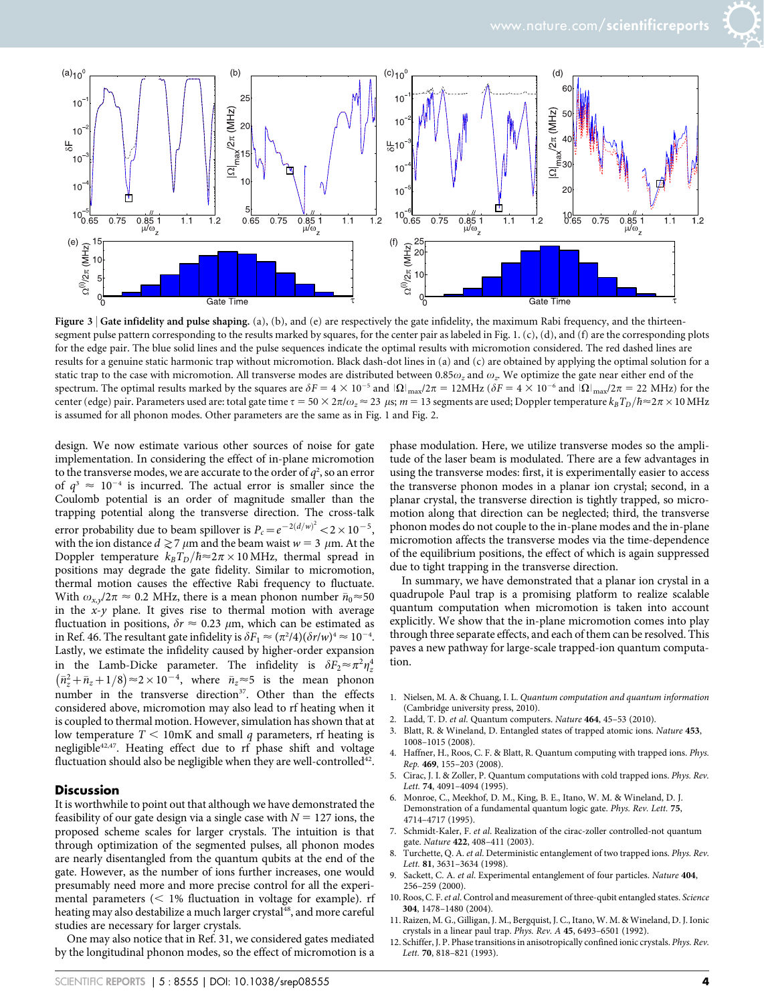

Figure 3 | Gate infidelity and pulse shaping. (a), (b), and (e) are respectively the gate infidelity, the maximum Rabi frequency, and the thirteensegment pulse pattern corresponding to the results marked by squares, for the center pair as labeled in Fig. 1. (c), (d), and (f) are the corresponding plots for the edge pair. The blue solid lines and the pulse sequences indicate the optimal results with micromotion considered. The red dashed lines are results for a genuine static harmonic trap without micromotion. Black dash-dot lines in (a) and (c) are obtained by applying the optimal solution for a static trap to the case with micromotion. All transverse modes are distributed between 0.85 $\omega_z$  and  $\omega_z$ . We optimize the gate near either end of the spectrum. The optimal results marked by the squares are  $\delta F = 4 \times 10^{-5}$  and  $|\Omega|_{\text{max}}/2\pi = 12 \text{MHz}$  ( $\delta F = 4 \times 10^{-6}$  and  $|\Omega|_{\text{max}}/2\pi = 22 \text{ MHz}$ ) for the center (edge) pair. Parameters used are: total gate time  $\tau = 50 \times 2\pi/\omega_z \approx 23\,$  µs;  $m = 13$  segments are used; Doppler temperature  $k_B T_D/\hbar \approx 2\pi \times 10\,\rm{MHz}$ is assumed for all phonon modes. Other parameters are the same as in Fig. 1 and Fig. 2.

design. We now estimate various other sources of noise for gate implementation. In considering the effect of in-plane micromotion to the transverse modes, we are accurate to the order of  $q^2$ , so an error of  $q^3 \approx 10^{-4}$  is incurred. The actual error is smaller since the Coulomb potential is an order of magnitude smaller than the trapping potential along the transverse direction. The cross-talk error probability due to beam spillover is  $P_c = e^{-2(d/w)^2} < 2 \times 10^{-5}$ , with the ion distance  $d\gtrsim$  7  $\mu{\rm m}$  and the beam waist  $w$  = 3  $\,\mu{\rm m}.$  At the Doppler temperature  $k_B T_D/\hbar \approx 2\pi \times 10 \text{ MHz}$ , thermal spread in positions may degrade the gate fidelity. Similar to micromotion, thermal motion causes the effective Rabi frequency to fluctuate. With  $\omega_{x,y}/2\pi \approx 0.2$  MHz, there is a mean phonon number  $\bar{n}_0 \approx 50$ in the  $x-y$  plane. It gives rise to thermal motion with average fluctuation in positions,  $\delta r \approx 0.23 \mu$ m, which can be estimated as in Ref. 46. The resultant gate infidelity is  $\delta F_1 \approx (\pi^2/4)(\delta r/w)^4 \approx 10^{-4}$ . Lastly, we estimate the infidelity caused by higher-order expansion in the Lamb-Dicke parameter. The infidelity is  $\delta F_2 \approx \pi^2 \eta_z^4$  $(\bar{n}_z^2 + \bar{n}_z + 1/8) \approx 2 \times 10^{-4}$ , where  $\bar{n}_z \approx 5$  is the mean phonon number in the transverse direction<sup>37</sup>. Other than the effects considered above, micromotion may also lead to rf heating when it is coupled to thermal motion. However, simulation has shown that at low temperature  $T < 10$ mK and small q parameters, rf heating is negligible<sup>42,47</sup>. Heating effect due to rf phase shift and voltage fluctuation should also be negligible when they are well-controlled<sup>42</sup>.

#### Discussion

It is worthwhile to point out that although we have demonstrated the feasibility of our gate design via a single case with  $N = 127$  ions, the proposed scheme scales for larger crystals. The intuition is that through optimization of the segmented pulses, all phonon modes are nearly disentangled from the quantum qubits at the end of the gate. However, as the number of ions further increases, one would presumably need more and more precise control for all the experimental parameters  $\langle \langle 1 \rangle$  fluctuation in voltage for example). rf heating may also destabilize a much larger crystal<sup>48</sup>, and more careful studies are necessary for larger crystals.

One may also notice that in Ref. 31, we considered gates mediated by the longitudinal phonon modes, so the effect of micromotion is a

phase modulation. Here, we utilize transverse modes so the amplitude of the laser beam is modulated. There are a few advantages in using the transverse modes: first, it is experimentally easier to access the transverse phonon modes in a planar ion crystal; second, in a planar crystal, the transverse direction is tightly trapped, so micromotion along that direction can be neglected; third, the transverse phonon modes do not couple to the in-plane modes and the in-plane micromotion affects the transverse modes via the time-dependence of the equilibrium positions, the effect of which is again suppressed due to tight trapping in the transverse direction.

In summary, we have demonstrated that a planar ion crystal in a quadrupole Paul trap is a promising platform to realize scalable quantum computation when micromotion is taken into account explicitly. We show that the in-plane micromotion comes into play through three separate effects, and each of them can be resolved. This paves a new pathway for large-scale trapped-ion quantum computation.

- 1. Nielsen, M. A. & Chuang, I. L. Quantum computation and quantum information (Cambridge university press, 2010).
- 2. Ladd, T. D. et al. Quantum computers. Nature 464, 45–53 (2010).
- 3. Blatt, R. & Wineland, D. Entangled states of trapped atomic ions. Nature 453, 1008–1015 (2008).
- 4. Haffner, H., Roos, C. F. & Blatt, R. Quantum computing with trapped ions. Phys. Rep. 469, 155–203 (2008).
- 5. Cirac, J. I. & Zoller, P. Quantum computations with cold trapped ions. Phys. Rev. Lett. 74, 4091–4094 (1995).
- 6. Monroe, C., Meekhof, D. M., King, B. E., Itano, W. M. & Wineland, D. J. Demonstration of a fundamental quantum logic gate. Phys. Rev. Lett. 75, 4714–4717 (1995).
- 7. Schmidt-Kaler, F. et al. Realization of the cirac-zoller controlled-not quantum gate. Nature 422, 408-411 (2003).
- 8. Turchette, Q. A. et al. Deterministic entanglement of two trapped ions. Phys. Rev. Lett. 81, 3631–3634 (1998).
- 9. Sackett, C. A. et al. Experimental entanglement of four particles. Nature 404, 256–259 (2000).
- 10. Roos, C. F. et al. Control and measurement of three-qubit entangled states. Science 304, 1478–1480 (2004).
- 11. Raizen, M. G., Gilligan, J. M., Bergquist, J. C., Itano, W. M. & Wineland, D. J. Ionic crystals in a linear paul trap. Phys. Rev. A 45, 6493–6501 (1992).
- 12. Schiffer, J. P. Phase transitions in anisotropically confined ionic crystals. Phys. Rev. Lett. 70, 818–821 (1993).